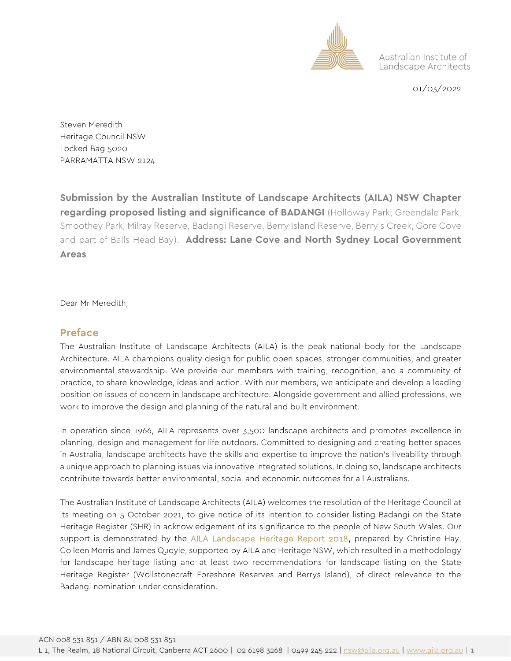

Australian Institute of Landscape Architects

01/03/2022

Steven Meredith Heritage Council NSW Locked Bag 5020 PARRAMATTA NSW 2124

**Submission by the Australian Institute of Landscape Architects (AILA) NSW Chapter regarding proposed listing and significance of BADANGI** (Holloway Park, Greendale Park, Smoothey Park, Milray Reserve, Badangi Reserve, Berry Island Reserve, Berry's Creek, Gore Cove and part of Balls Head Bay). **Address: Lane Cove and North Sydney Local Government Areas**

Dear Mr Meredith,

## **Preface**

The Australian Institute of Landscape Architects (AILA) is the peak national body for the Landscape Architecture. AILA champions quality design for public open spaces, stronger communities, and greater environmental stewardship. We provide our members with training, recognition, and a community of practice, to share knowledge, ideas and action. With our members, we anticipate and develop a leading position on issues of concern in landscape architecture. Alongside government and allied professions, we work to improve the design and planning of the natural and built environment.

In operation since 1966, AILA represents over 3,500 landscape architects and promotes excellence in planning, design and management for life outdoors. Committed to designing and creating better spaces in Australia, landscape architects have the skills and expertise to improve the nation's liveability through a unique approach to planning issues via innovative integrated solutions. In doing so, landscape architects contribute towards better environmental, social and economic outcomes for all Australians.

The Australian Institute of Landscape Architects (AILA) welcomes the resolution of the Heritage Council at its meeting on 5 October 2021, to give notice of its intention to consider listing Badangi on the State Heritage Register (SHR) in acknowledgement of its significance to the people of New South Wales. Our support is demonstrated by the [AILA Landscape Heritage Report 2018,](https://www.aila.org.au/common/Uploaded%20files/_AILA/Resource%20library/Landscape%20Heritage%20Report%20Volume%201-2.pdf) prepared by Christine Hay, Colleen Morris and James Quoyle, supported by AILA and Heritage NSW, which resulted in a methodology for landscape heritage listing and at least two recommendations for landscape listing on the State Heritage Register (Wollstonecraft Foreshore Reserves and Berrys Island), of direct relevance to the Badangi nomination under consideration.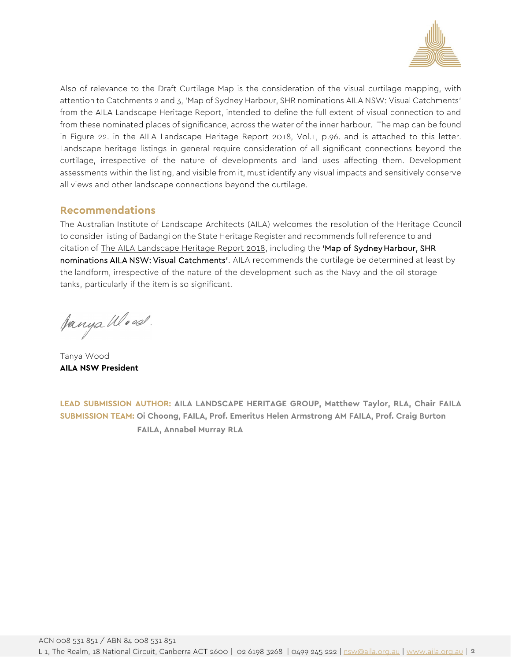

Also of relevance to the Draft Curtilage Map is the consideration of the visual curtilage mapping, with attention to Catchments 2 and 3, 'Map of Sydney Harbour, SHR nominations AILA NSW: Visual Catchments' from the AILA Landscape Heritage Report, intended to define the full extent of visual connection to and from these nominated places of significance, across the water of the inner harbour. The map can be found in Figure 22. in the AILA Landscape Heritage Report 2018, Vol.1, p.96. and is attached to this letter. Landscape heritage listings in general require consideration of all significant connections beyond the curtilage, irrespective of the nature of developments and land uses affecting them. Development assessments within the listing, and visible from it, must identify any visual impacts and sensitively conserve all views and other landscape connections beyond the curtilage.

## **Recommendations**

The Australian Institute of Landscape Architects (AILA) welcomes the resolution of the Heritage Council to consider listing of Badangi on the State Heritage Register and recommends full reference to and citation of The AILA [Landscape Heritage Report 2018,](https://aila.org.au/common/Uploaded%20files/_AILA/Resource%20library/Landscape%20Heritage%20Report%20Volume%201-2.pdf) including the 'Map of Sydney Harbour, SHR nominations AILA NSW: Visual Catchments'. AILA recommends the curtilage be determined at least by the landform, irrespective of the nature of the development such as the Navy and the oil storage tanks, particularly if the item is so significant.

Janya Wood.

Tanya Wood **AILA NSW President** 

**LEAD SUBMISSION AUTHOR: AILA LANDSCAPE HERITAGE GROUP, Matthew Taylor, RLA, Chair FAILA SUBMISSION TEAM: Oi Choong, FAILA, Prof. Emeritus Helen Armstrong AM FAILA, Prof. Craig Burton FAILA, Annabel Murray RLA**